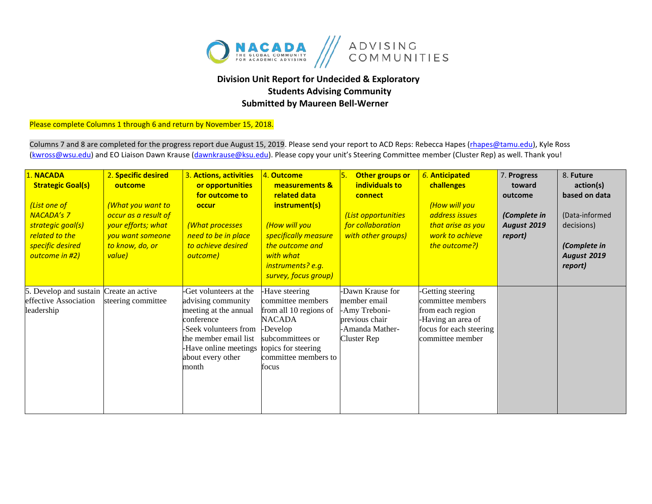

## **Division Unit Report for Undecided & Exploratory Students Advising Community Submitted by Maureen Bell-Werner**

Please complete Columns 1 through 6 and return by November 15, 2018.

Columns 7 and 8 are completed for the progress report due August 15, 2019. Please send your report to ACD Reps: Rebecca Hapes (rhapes@tamu.edu), Kyle Ross [\(kwross@wsu.edu\)](mailto:kwross@wsu.edu) and EO Liaison Dawn Krause (dawnkrause@ksu.edu). Please copy your unit's Steering Committee member (Cluster Rep) as well. Thank you!

| 1. NACADA<br><b>Strategic Goal(s)</b><br>(List one of<br><b>NACADA's 7</b><br>strategic goal(s)<br>related to the<br>specific desired<br>outcome in #2) | 2. Specific desired<br>outcome<br>(What you want to<br>occur as a result of<br>your efforts; what<br>you want someone<br>to know, do, or<br>value) | 3. Actions, activities<br>or opportunities<br>for outcome to<br>occur<br>(What processes<br>need to be in place<br>to achieve desired<br>outcome)                                                               | 4. Outcome<br>measurements &<br>related data<br>instrument(s)<br>(How will you<br>specifically measure<br>the outcome and<br>with what<br>instruments? e.g.<br>survey, focus group) | Other groups or<br>individuals to<br>connect<br>(List opportunities<br>for collaboration<br>with other groups) | 6. Anticipated<br>challenges<br>(How will you<br>address issues<br>that arise as you<br>work to achieve<br>the outcome?)        | 7. Progress<br>toward<br>outcome<br>(Complete in<br><b>August 2019</b><br>report) | 8. Future<br>action(s)<br>based on data<br>(Data-informed<br>decisions)<br>(Complete in<br><b>August 2019</b><br>report) |
|---------------------------------------------------------------------------------------------------------------------------------------------------------|----------------------------------------------------------------------------------------------------------------------------------------------------|-----------------------------------------------------------------------------------------------------------------------------------------------------------------------------------------------------------------|-------------------------------------------------------------------------------------------------------------------------------------------------------------------------------------|----------------------------------------------------------------------------------------------------------------|---------------------------------------------------------------------------------------------------------------------------------|-----------------------------------------------------------------------------------|--------------------------------------------------------------------------------------------------------------------------|
| 5. Develop and sustain Create an active<br>effective Association<br>leadership                                                                          | steering committee                                                                                                                                 | -Get volunteers at the<br>advising community<br>meeting at the annual<br>conference<br>-Seek volunteers from<br>the member email list<br>Have online meetings topics for steering<br>about every other<br>month | Have steering<br>committee members<br>from all 10 regions of<br><b>NACADA</b><br>-Develop<br>subcommittees or<br>committee members to<br>focus                                      | -Dawn Krause for<br>member email<br>-Amy Treboni-<br>previous chair<br>-Amanda Mather-<br>Cluster Rep          | -Getting steering<br>committee members<br>from each region<br>-Having an area of<br>focus for each steering<br>committee member |                                                                                   |                                                                                                                          |